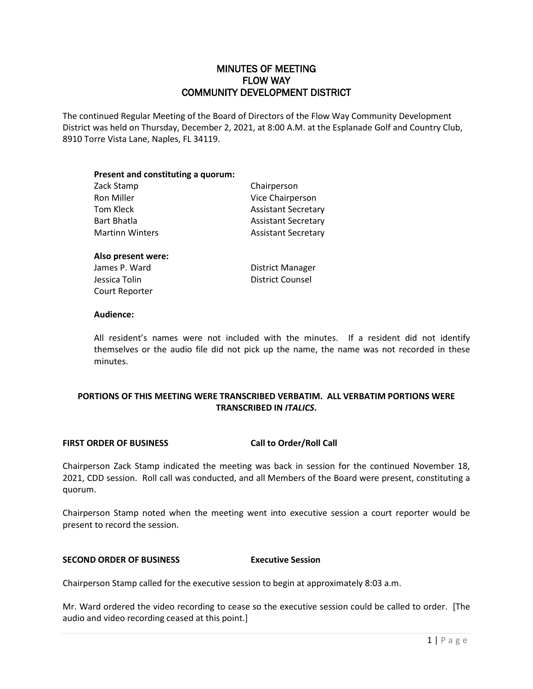## MINUTES OF MEETING FLOW WAY COMMUNITY DEVELOPMENT DISTRICT

The continued Regular Meeting of the Board of Directors of the Flow Way Community Development District was held on Thursday, December 2, 2021, at 8:00 A.M. at the Esplanade Golf and Country Club, 8910 Torre Vista Lane, Naples, FL 34119.

| Present and constituting a quorum: |                            |
|------------------------------------|----------------------------|
| Zack Stamp                         | Chairperson                |
| Ron Miller                         | Vice Chairperson           |
| Tom Kleck                          | <b>Assistant Secretary</b> |
| <b>Bart Bhatla</b>                 | <b>Assistant Secretary</b> |
| <b>Martinn Winters</b>             | <b>Assistant Secretary</b> |

# **Also present were:**

**Jessica Tolin District Counsel** Court Reporter

James P. Ward **District Manager** 

### **Audience:**

All resident's names were not included with the minutes. If a resident did not identify themselves or the audio file did not pick up the name, the name was not recorded in these minutes.

### **PORTIONS OF THIS MEETING WERE TRANSCRIBED VERBATIM. ALL VERBATIM PORTIONS WERE TRANSCRIBED IN** *ITALICS***.**

#### **FIRST ORDER OF BUSINESS Call to Order/Roll Call**

Chairperson Zack Stamp indicated the meeting was back in session for the continued November 18, 2021, CDD session. Roll call was conducted, and all Members of the Board were present, constituting a quorum.

Chairperson Stamp noted when the meeting went into executive session a court reporter would be present to record the session.

#### **SECOND ORDER OF BUSINESS Executive Session**

Chairperson Stamp called for the executive session to begin at approximately 8:03 a.m.

Mr. Ward ordered the video recording to cease so the executive session could be called to order. [The audio and video recording ceased at this point.]